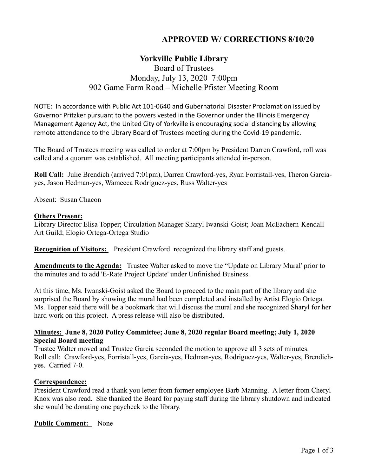# **APPROVED W/ CORRECTIONS 8/10/20**

# **Yorkville Public Library**

# Board of Trustees Monday, July 13, 2020 7:00pm 902 Game Farm Road – Michelle Pfister Meeting Room

NOTE: In accordance with Public Act 101‐0640 and Gubernatorial Disaster Proclamation issued by Governor Pritzker pursuant to the powers vested in the Governor under the Illinois Emergency Management Agency Act, the United City of Yorkville is encouraging social distancing by allowing remote attendance to the Library Board of Trustees meeting during the Covid‐19 pandemic.

The Board of Trustees meeting was called to order at 7:00pm by President Darren Crawford, roll was called and a quorum was established. All meeting participants attended in-person.

**Roll Call:** Julie Brendich (arrived 7:01pm), Darren Crawford-yes, Ryan Forristall-yes, Theron Garciayes, Jason Hedman-yes, Wamecca Rodriguez-yes, Russ Walter-yes

Absent: Susan Chacon

### **Others Present:**

Library Director Elisa Topper; Circulation Manager Sharyl Iwanski-Goist; Joan McEachern-Kendall Art Guild; Elogio Ortega-Ortega Studio

**Recognition of Visitors:** President Crawford recognized the library staff and guests.

**Amendments to the Agenda:** Trustee Walter asked to move the "Update on Library Mural' prior to the minutes and to add 'E-Rate Project Update' under Unfinished Business.

At this time, Ms. Iwanski-Goist asked the Board to proceed to the main part of the library and she surprised the Board by showing the mural had been completed and installed by Artist Elogio Ortega. Ms. Topper said there will be a bookmark that will discuss the mural and she recognized Sharyl for her hard work on this project. A press release will also be distributed.

# **Minutes: June 8, 2020 Policy Committee; June 8, 2020 regular Board meeting; July 1, 2020 Special Board meeting**

Trustee Walter moved and Trustee Garcia seconded the motion to approve all 3 sets of minutes. Roll call: Crawford-yes, Forristall-yes, Garcia-yes, Hedman-yes, Rodriguez-yes, Walter-yes, Brendichyes. Carried 7-0.

# **Correspondence:**

President Crawford read a thank you letter from former employee Barb Manning. A letter from Cheryl Knox was also read. She thanked the Board for paying staff during the library shutdown and indicated she would be donating one paycheck to the library.

# **Public Comment:** None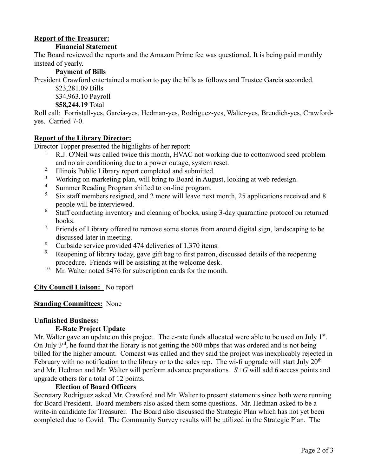# **Report of the Treasurer:**

### **Financial Statement**

The Board reviewed the reports and the Amazon Prime fee was questioned. It is being paid monthly instead of yearly.

# **Payment of Bills**

President Crawford entertained a motion to pay the bills as follows and Trustee Garcia seconded.

\$23,281.09 Bills

\$34,963.10 Payroll

**\$58,244.19** Total

Roll call: Forristall-yes, Garcia-yes, Hedman-yes, Rodriguez-yes, Walter-yes, Brendich-yes, Crawfordyes. Carried 7-0.

# **Report of the Library Director:**

Director Topper presented the highlights of her report:

- <sup>1.</sup> R.J. O'Neil was called twice this month, HVAC not working due to cottonwood seed problem and no air conditioning due to a power outage, system reset.
- <sup>2.</sup> Illinois Public Library report completed and submitted.
- <sup>3.</sup> Working on marketing plan, will bring to Board in August, looking at web redesign.
- <sup>4.</sup> Summer Reading Program shifted to on-line program.<br><sup>5.</sup> Six staff members resigned and 2 more will leave nex
- Six staff members resigned, and 2 more will leave next month, 25 applications received and 8 people will be interviewed.
- <sup>6.</sup> Staff conducting inventory and cleaning of books, using 3-day quarantine protocol on returned books.
- <sup>7.</sup> Friends of Library offered to remove some stones from around digital sign, landscaping to be discussed later in meeting.
- <sup>8.</sup> Curbside service provided 474 deliveries of 1,370 items.<br><sup>9.</sup> Reopening of library today gave gift hag to first patron.
- Reopening of library today, gave gift bag to first patron, discussed details of the reopening procedure. Friends will be assisting at the welcome desk.
- <sup>10.</sup> Mr. Walter noted \$476 for subscription cards for the month.

# **City Council Liaison:** No report

#### **Standing Committees:** None

#### **Unfinished Business:**

# **E-Rate Project Update**

Mr. Walter gave an update on this project. The e-rate funds allocated were able to be used on July  $1<sup>st</sup>$ . On July  $3^{rd}$ , he found that the library is not getting the 500 mbps that was ordered and is not being billed for the higher amount. Comcast was called and they said the project was inexplicably rejected in February with no notification to the library or to the sales rep. The wi-fi upgrade will start July  $20<sup>th</sup>$ and Mr. Hedman and Mr. Walter will perform advance preparations*. S+G* will add 6 access points and upgrade others for a total of 12 points.

#### **Election of Board Officers**

Secretary Rodriguez asked Mr. Crawford and Mr. Walter to present statements since both were running for Board President. Board members also asked them some questions. Mr. Hedman asked to be a write-in candidate for Treasurer. The Board also discussed the Strategic Plan which has not yet been completed due to Covid. The Community Survey results will be utilized in the Strategic Plan. The